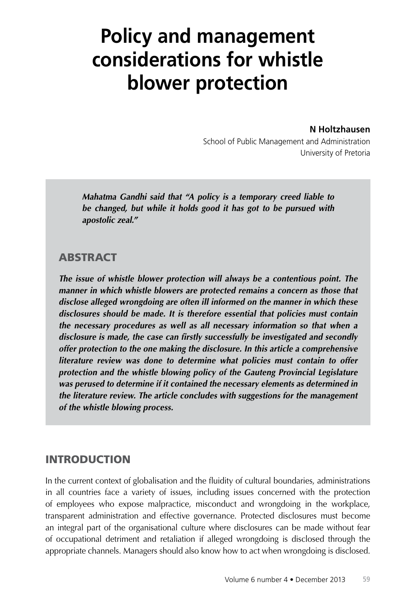# **Policy and management considerations for whistle blower protection**

**N Holtzhausen**

School of Public Management and Administration University of Pretoria

*Mahatma Gandhi said that "A policy is a temporary creed liable to be changed, but while it holds good it has got to be pursued with apostolic zeal."*

# **ABSTRACT**

*The issue of whistle blower protection will always be a contentious point. The manner in which whistle blowers are protected remains a concern as those that disclose alleged wrongdoing are often ill informed on the manner in which these disclosures should be made. It is therefore essential that policies must contain the necessary procedures as well as all necessary information so that when a disclosure is made, the case can firstly successfully be investigated and secondly offer protection to the one making the disclosure. In this article a comprehensive literature review was done to determine what policies must contain to offer protection and the whistle blowing policy of the Gauteng Provincial Legislature was perused to determine if it contained the necessary elements as determined in the literature review. The article concludes with suggestions for the management of the whistle blowing process.*

## INTRODUCTION

In the current context of globalisation and the fluidity of cultural boundaries, administrations in all countries face a variety of issues, including issues concerned with the protection of employees who expose malpractice, misconduct and wrongdoing in the workplace, transparent administration and effective governance. Protected disclosures must become an integral part of the organisational culture where disclosures can be made without fear of occupational detriment and retaliation if alleged wrongdoing is disclosed through the appropriate channels. Managers should also know how to act when wrongdoing is disclosed.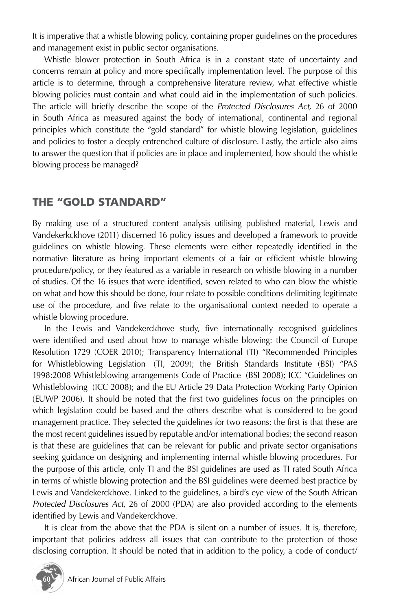It is imperative that a whistle blowing policy, containing proper guidelines on the procedures and management exist in public sector organisations.

Whistle blower protection in South Africa is in a constant state of uncertainty and concerns remain at policy and more specifically implementation level. The purpose of this article is to determine, through a comprehensive literature review, what effective whistle blowing policies must contain and what could aid in the implementation of such policies. The article will briefly describe the scope of the *Protected Disclosures Act,* 26 of 2000 in South Africa as measured against the body of international, continental and regional principles which constitute the "gold standard" for whistle blowing legislation, guidelines and policies to foster a deeply entrenched culture of disclosure. Lastly, the article also aims to answer the question that if policies are in place and implemented, how should the whistle blowing process be managed?

# THE "GOLD STANDARD"

By making use of a structured content analysis utilising published material, Lewis and Vandekerkckhove (2011) discerned 16 policy issues and developed a framework to provide guidelines on whistle blowing. These elements were either repeatedly identified in the normative literature as being important elements of a fair or efficient whistle blowing procedure/policy, or they featured as a variable in research on whistle blowing in a number of studies. Of the 16 issues that were identified, seven related to who can blow the whistle on what and how this should be done, four relate to possible conditions delimiting legitimate use of the procedure, and five relate to the organisational context needed to operate a whistle blowing procedure.

In the Lewis and Vandekerckhove study, five internationally recognised guidelines were identified and used about how to manage whistle blowing: the Council of Europe Resolution 1729 (COER 2010); Transparency International (TI) "Recommended Principles for Whistleblowing Legislation (Tl, 2009); the British Standards Institute (BSI) "PAS 1998:2008 Whistleblowing arrangements Code of Practice (BSI 2008); ICC "Guidelines on Whistleblowing (ICC 2008); and the EU Article 29 Data Protection Working Party Opinion (EUWP 2006). It should be noted that the first two guidelines focus on the principles on which legislation could be based and the others describe what is considered to be good management practice. They selected the guidelines for two reasons: the first is that these are the most recent guidelines issued by reputable and/or international bodies; the second reason is that these are guidelines that can be relevant for public and private sector organisations seeking guidance on designing and implementing internal whistle blowing procedures. For the purpose of this article, only TI and the BSI guidelines are used as TI rated South Africa in terms of whistle blowing protection and the BSI guidelines were deemed best practice by Lewis and Vandekerckhove. Linked to the guidelines, a bird's eye view of the South African *Protected Disclosures Act*, 26 of 2000 (PDA) are also provided according to the elements identified by Lewis and Vandekerckhove.

It is clear from the above that the PDA is silent on a number of issues. It is, therefore, important that policies address all issues that can contribute to the protection of those disclosing corruption. It should be noted that in addition to the policy, a code of conduct/

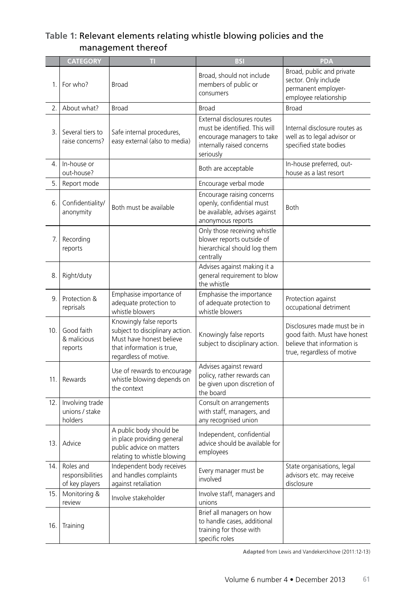#### **Table 1:** Relevant elements relating whistle blowing policies and the management thereof

|     | <b>CATEGORY</b>                                     | π                                                                                                                                            | <b>BSI</b>                                                                                                                            | <b>PDA</b>                                                                                                               |
|-----|-----------------------------------------------------|----------------------------------------------------------------------------------------------------------------------------------------------|---------------------------------------------------------------------------------------------------------------------------------------|--------------------------------------------------------------------------------------------------------------------------|
| 1.  | For who?                                            | Broad                                                                                                                                        | Broad, should not include<br>members of public or<br>consumers                                                                        | Broad, public and private<br>sector. Only include<br>permanent employer-<br>employee relationship                        |
| 2.  | About what?                                         | Broad                                                                                                                                        | Broad                                                                                                                                 | Broad                                                                                                                    |
| 3.  | Several tiers to<br>raise concerns?                 | Safe internal procedures,<br>easy external (also to media)                                                                                   | External disclosures routes<br>must be identified. This will<br>encourage managers to take<br>internally raised concerns<br>seriously | Internal disclosure routes as<br>well as to legal advisor or<br>specified state bodies                                   |
| 4.  | In-house or<br>out-house?                           |                                                                                                                                              | Both are acceptable                                                                                                                   | In-house preferred, out-<br>house as a last resort                                                                       |
| 5.  | Report mode                                         |                                                                                                                                              | Encourage verbal mode                                                                                                                 |                                                                                                                          |
| 6.  | Confidentiality/<br>anonymity                       | Both must be available                                                                                                                       | Encourage raising concerns<br>openly, confidential must<br>be available, advises against<br>anonymous reports                         | <b>Both</b>                                                                                                              |
| 7.  | Recording<br>reports                                |                                                                                                                                              | Only those receiving whistle<br>blower reports outside of<br>hierarchical should log them<br>centrally                                |                                                                                                                          |
| 8.  | Right/duty                                          |                                                                                                                                              | Advises against making it a<br>general requirement to blow<br>the whistle                                                             |                                                                                                                          |
| 9.  | Protection &<br>reprisals                           | Emphasise importance of<br>adequate protection to<br>whistle blowers                                                                         | Emphasise the importance<br>of adequate protection to<br>whistle blowers                                                              | Protection against<br>occupational detriment                                                                             |
| 10. | Good faith<br>& malicious<br>reports                | Knowingly false reports<br>subject to disciplinary action.<br>Must have honest believe<br>that information is true,<br>regardless of motive. | Knowingly false reports<br>subject to disciplinary action.                                                                            | Disclosures made must be in<br>good faith. Must have honest<br>believe that information is<br>true, regardless of motive |
| 11. | Rewards                                             | Use of rewards to encourage<br>whistle blowing depends on<br>the context                                                                     | Advises against reward<br>policy, rather rewards can<br>be given upon discretion of<br>the board                                      |                                                                                                                          |
| 12. | Involving trade<br>unions / stake<br>holders        |                                                                                                                                              | Consult on arrangements<br>with staff, managers, and<br>any recognised union                                                          |                                                                                                                          |
| 13. | Advice                                              | A public body should be<br>in place providing general<br>public advice on matters<br>relating to whistle blowing                             | Independent, confidential<br>advice should be available for<br>employees                                                              |                                                                                                                          |
|     | 14. Roles and<br>responsibilities<br>of key players | Independent body receives<br>and handles complaints<br>against retaliation                                                                   | Every manager must be<br>involved                                                                                                     | State organisations, legal<br>advisors etc. may receive<br>disclosure                                                    |
| 15. | Monitoring &<br>review                              | Involve stakeholder                                                                                                                          | Involve staff, managers and<br>unions                                                                                                 |                                                                                                                          |
| 16. | Training                                            |                                                                                                                                              | Brief all managers on how<br>to handle cases, additional<br>training for those with<br>specific roles                                 |                                                                                                                          |

**Adapted** from Lewis and Vandekerckhove (2011:12-13)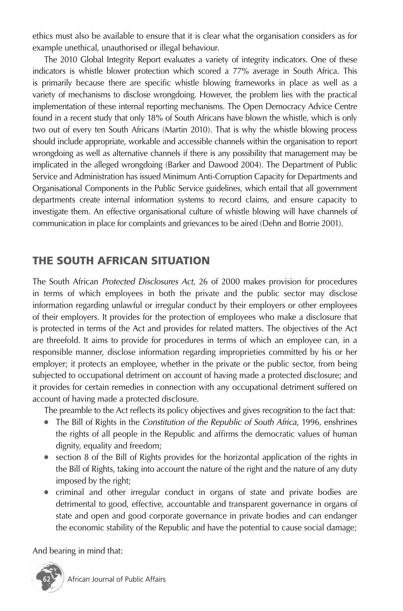ethics must also be available to ensure that it is clear what the organisation considers as for example unethical, unauthorised or illegal behaviour.

The 2010 Global Integrity Report evaluates a variety of integrity indicators. One of these indicators is whistle blower protection which scored a 77% average in South Africa. This is primarily because there are specific whistle blowing frameworks in place as well as a variety of mechanisms to disclose wrongdoing. However, the problem lies with the practical implementation of these internal reporting mechanisms. The Open Democracy Advice Centre found in a recent study that only 18% of South Africans have blown the whistle, which is only two out of every ten South Africans (Martin 2010). That is why the whistle blowing process should include appropriate, workable and accessible channels within the organisation to report wrongdoing as well as alternative channels if there is any possibility that management may be implicated in the alleged wrongdoing (Barker and Dawood 2004). The Department of Public Service and Administration has issued Minimum Anti-Corruption Capacity for Departments and Organisational Components in the Public Service guidelines, which entail that all government departments create internal information systems to record claims, and ensure capacity to investigate them. An effective organisational culture of whistle blowing will have channels of communication in place for complaints and grievances to be aired (Dehn and Borrie 2001).

# THE SOUTH AFRICAN SITUATION

The South African *Protected Disclosures Act*, 26 of 2000 makes provision for procedures in terms of which employees in both the private and the public sector may disclose information regarding unlawful or irregular conduct by their employers or other employees of their employers. It provides for the protection of employees who make a disclosure that is protected in terms of the Act and provides for related matters. The objectives of the Act are threefold. It aims to provide for procedures in terms of which an employee can, in a responsible manner, disclose information regarding improprieties committed by his or her employer; it protects an employee, whether in the private or the public sector, from being subjected to occupational detriment on account of having made a protected disclosure; and it provides for certain remedies in connection with any occupational detriment suffered on account of having made a protected disclosure.

The preamble to the Act reflects its policy objectives and gives recognition to the fact that:

- The Bill of Rights in the *Constitution of the Republic of South Africa*, 1996, enshrines the rights of all people in the Republic and affirms the democratic values of human dignity, equality and freedom;
- section 8 of the Bill of Rights provides for the horizontal application of the rights in the Bill of Rights, taking into account the nature of the right and the nature of any duty imposed by the right;
- criminal and other irregular conduct in organs of state and private bodies are detrimental to good, effective, accountable and transparent governance in organs of state and open and good corporate governance in private bodies and can endanger the economic stability of the Republic and have the potential to cause social damage;

And bearing in mind that:

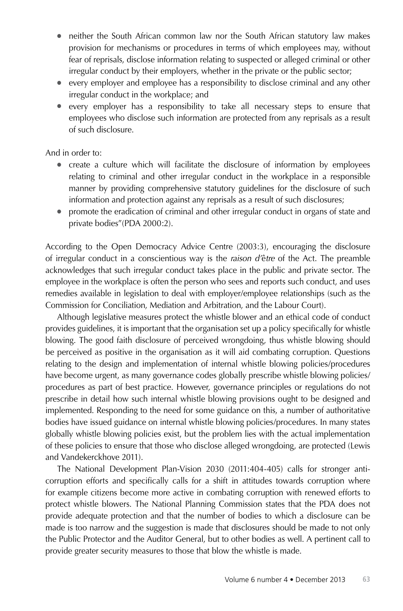- neither the South African common law nor the South African statutory law makes provision for mechanisms or procedures in terms of which employees may, without fear of reprisals, disclose information relating to suspected or alleged criminal or other irregular conduct by their employers, whether in the private or the public sector;
- every employer and employee has a responsibility to disclose criminal and any other irregular conduct in the workplace; and
- every employer has a responsibility to take all necessary steps to ensure that employees who disclose such information are protected from any reprisals as a result of such disclosure.

And in order to:

- create a culture which will facilitate the disclosure of information by employees relating to criminal and other irregular conduct in the workplace in a responsible manner by providing comprehensive statutory guidelines for the disclosure of such information and protection against any reprisals as a result of such disclosures;
- promote the eradication of criminal and other irregular conduct in organs of state and private bodies"(PDA 2000:2).

According to the Open Democracy Advice Centre (2003:3), encouraging the disclosure of irregular conduct in a conscientious way is the *raison d'*ê*tre* of the Act. The preamble acknowledges that such irregular conduct takes place in the public and private sector. The employee in the workplace is often the person who sees and reports such conduct, and uses remedies available in legislation to deal with employer/employee relationships (such as the Commission for Conciliation, Mediation and Arbitration, and the Labour Court).

Although legislative measures protect the whistle blower and an ethical code of conduct provides guidelines, it is important that the organisation set up a policy specifically for whistle blowing. The good faith disclosure of perceived wrongdoing, thus whistle blowing should be perceived as positive in the organisation as it will aid combating corruption. Questions relating to the design and implementation of internal whistle blowing policies/procedures have become urgent, as many governance codes globally prescribe whistle blowing policies/ procedures as part of best practice. However, governance principles or regulations do not prescribe in detail how such internal whistle blowing provisions ought to be designed and implemented. Responding to the need for some guidance on this, a number of authoritative bodies have issued guidance on internal whistle blowing policies/procedures. In many states globally whistle blowing policies exist, but the problem lies with the actual implementation of these policies to ensure that those who disclose alleged wrongdoing, are protected (Lewis and Vandekerckhove 2011).

The National Development Plan-Vision 2030 (2011:404-405) calls for stronger anticorruption efforts and specifically calls for a shift in attitudes towards corruption where for example citizens become more active in combating corruption with renewed efforts to protect whistle blowers. The National Planning Commission states that the PDA does not provide adequate protection and that the number of bodies to which a disclosure can be made is too narrow and the suggestion is made that disclosures should be made to not only the Public Protector and the Auditor General, but to other bodies as well. A pertinent call to provide greater security measures to those that blow the whistle is made.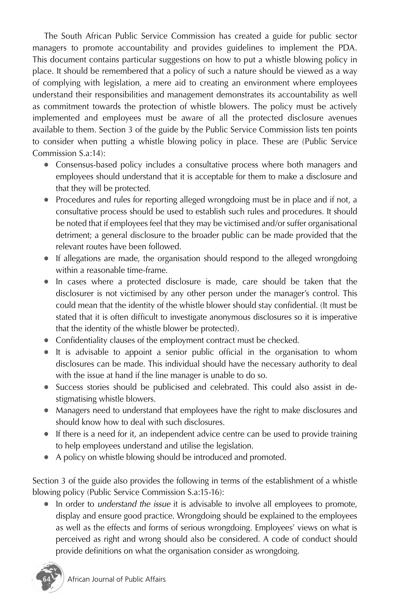The South African Public Service Commission has created a guide for public sector managers to promote accountability and provides guidelines to implement the PDA. This document contains particular suggestions on how to put a whistle blowing policy in place. It should be remembered that a policy of such a nature should be viewed as a way of complying with legislation, a mere aid to creating an environment where employees understand their responsibilities and management demonstrates its accountability as well as commitment towards the protection of whistle blowers. The policy must be actively implemented and employees must be aware of all the protected disclosure avenues available to them. Section 3 of the guide by the Public Service Commission lists ten points to consider when putting a whistle blowing policy in place. These are (Public Service Commission S.a:14):

- Consensus-based policy includes a consultative process where both managers and employees should understand that it is acceptable for them to make a disclosure and that they will be protected.
- Procedures and rules for reporting alleged wrongdoing must be in place and if not, a consultative process should be used to establish such rules and procedures. It should be noted that if employees feel that they may be victimised and/or suffer organisational detriment; a general disclosure to the broader public can be made provided that the relevant routes have been followed.
- If allegations are made, the organisation should respond to the alleged wrongdoing within a reasonable time-frame.
- In cases where a protected disclosure is made, care should be taken that the disclosurer is not victimised by any other person under the manager's control. This could mean that the identity of the whistle blower should stay confidential. (It must be stated that it is often difficult to investigate anonymous disclosures so it is imperative that the identity of the whistle blower be protected).
- Confidentiality clauses of the employment contract must be checked.
- It is advisable to appoint a senior public official in the organisation to whom disclosures can be made. This individual should have the necessary authority to deal with the issue at hand if the line manager is unable to do so.
- Success stories should be publicised and celebrated. This could also assist in destigmatising whistle blowers.
- Managers need to understand that employees have the right to make disclosures and should know how to deal with such disclosures.
- If there is a need for it, an independent advice centre can be used to provide training to help employees understand and utilise the legislation.
- A policy on whistle blowing should be introduced and promoted.

Section 3 of the guide also provides the following in terms of the establishment of a whistle blowing policy (Public Service Commission S.a:15-16):

● In order to *understand the issue* it is advisable to involve all employees to promote, display and ensure good practice. Wrongdoing should be explained to the employees as well as the effects and forms of serious wrongdoing. Employees' views on what is perceived as right and wrong should also be considered. A code of conduct should provide definitions on what the organisation consider as wrongdoing.

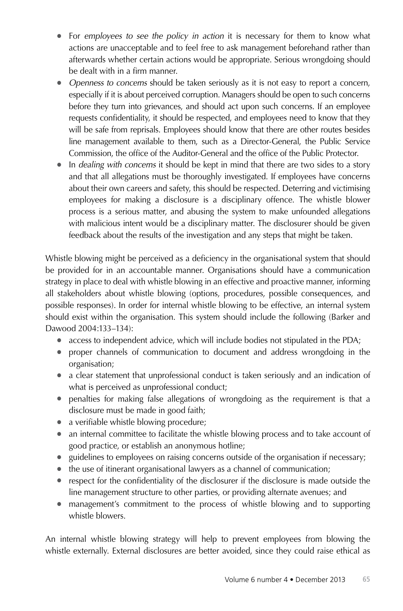- For *employees to see the policy in action* it is necessary for them to know what actions are unacceptable and to feel free to ask management beforehand rather than afterwards whether certain actions would be appropriate. Serious wrongdoing should be dealt with in a firm manner.
- *Openness to concerns* should be taken seriously as it is not easy to report a concern, especially if it is about perceived corruption. Managers should be open to such concerns before they turn into grievances, and should act upon such concerns. If an employee requests confidentiality, it should be respected, and employees need to know that they will be safe from reprisals. Employees should know that there are other routes besides line management available to them, such as a Director-General, the Public Service Commission, the office of the Auditor-General and the office of the Public Protector.
- In *dealing with concerns* it should be kept in mind that there are two sides to a story and that all allegations must be thoroughly investigated. If employees have concerns about their own careers and safety, this should be respected. Deterring and victimising employees for making a disclosure is a disciplinary offence. The whistle blower process is a serious matter, and abusing the system to make unfounded allegations with malicious intent would be a disciplinary matter. The disclosurer should be given feedback about the results of the investigation and any steps that might be taken.

Whistle blowing might be perceived as a deficiency in the organisational system that should be provided for in an accountable manner. Organisations should have a communication strategy in place to deal with whistle blowing in an effective and proactive manner, informing all stakeholders about whistle blowing (options, procedures, possible consequences, and possible responses). In order for internal whistle blowing to be effective, an internal system should exist within the organisation. This system should include the following (Barker and Dawood 2004:133–134):

- access to independent advice, which will include bodies not stipulated in the PDA;
- proper channels of communication to document and address wrongdoing in the organisation;
- a clear statement that unprofessional conduct is taken seriously and an indication of what is perceived as unprofessional conduct;
- penalties for making false allegations of wrongdoing as the requirement is that a disclosure must be made in good faith;
- a verifiable whistle blowing procedure;
- an internal committee to facilitate the whistle blowing process and to take account of good practice, or establish an anonymous hotline;
- guidelines to employees on raising concerns outside of the organisation if necessary;
- the use of itinerant organisational lawyers as a channel of communication;
- respect for the confidentiality of the disclosurer if the disclosure is made outside the line management structure to other parties, or providing alternate avenues; and
- management's commitment to the process of whistle blowing and to supporting whistle blowers.

An internal whistle blowing strategy will help to prevent employees from blowing the whistle externally. External disclosures are better avoided, since they could raise ethical as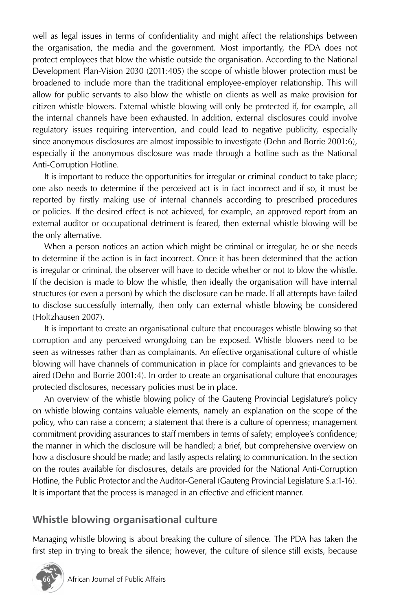well as legal issues in terms of confidentiality and might affect the relationships between the organisation, the media and the government. Most importantly, the PDA does not protect employees that blow the whistle outside the organisation. According to the National Development Plan-Vision 2030 (2011:405) the scope of whistle blower protection must be broadened to include more than the traditional employee-employer relationship. This will allow for public servants to also blow the whistle on clients as well as make provision for citizen whistle blowers. External whistle blowing will only be protected if, for example, all the internal channels have been exhausted. In addition, external disclosures could involve regulatory issues requiring intervention, and could lead to negative publicity, especially since anonymous disclosures are almost impossible to investigate (Dehn and Borrie 2001:6), especially if the anonymous disclosure was made through a hotline such as the National Anti-Corruption Hotline.

It is important to reduce the opportunities for irregular or criminal conduct to take place; one also needs to determine if the perceived act is in fact incorrect and if so, it must be reported by firstly making use of internal channels according to prescribed procedures or policies. If the desired effect is not achieved, for example, an approved report from an external auditor or occupational detriment is feared, then external whistle blowing will be the only alternative.

When a person notices an action which might be criminal or irregular, he or she needs to determine if the action is in fact incorrect. Once it has been determined that the action is irregular or criminal, the observer will have to decide whether or not to blow the whistle. If the decision is made to blow the whistle, then ideally the organisation will have internal structures (or even a person) by which the disclosure can be made. If all attempts have failed to disclose successfully internally, then only can external whistle blowing be considered (Holtzhausen 2007).

It is important to create an organisational culture that encourages whistle blowing so that corruption and any perceived wrongdoing can be exposed. Whistle blowers need to be seen as witnesses rather than as complainants. An effective organisational culture of whistle blowing will have channels of communication in place for complaints and grievances to be aired (Dehn and Borrie 2001:4). In order to create an organisational culture that encourages protected disclosures, necessary policies must be in place.

An overview of the whistle blowing policy of the Gauteng Provincial Legislature's policy on whistle blowing contains valuable elements, namely an explanation on the scope of the policy, who can raise a concern; a statement that there is a culture of openness; management commitment providing assurances to staff members in terms of safety; employee's confidence; the manner in which the disclosure will be handled; a brief, but comprehensive overview on how a disclosure should be made; and lastly aspects relating to communication. In the section on the routes available for disclosures, details are provided for the National Anti-Corruption Hotline, the Public Protector and the Auditor-General (Gauteng Provincial Legislature S.a:1-16). It is important that the process is managed in an effective and efficient manner.

#### **Whistle blowing organisational culture**

Managing whistle blowing is about breaking the culture of silence. The PDA has taken the first step in trying to break the silence; however, the culture of silence still exists, because

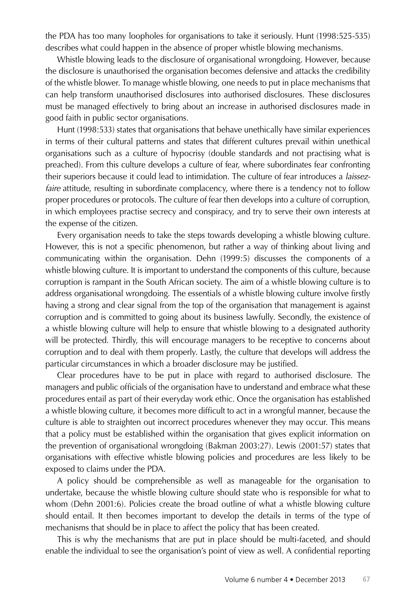the PDA has too many loopholes for organisations to take it seriously. Hunt (1998:525-535) describes what could happen in the absence of proper whistle blowing mechanisms.

Whistle blowing leads to the disclosure of organisational wrongdoing. However, because the disclosure is unauthorised the organisation becomes defensive and attacks the credibility of the whistle blower. To manage whistle blowing, one needs to put in place mechanisms that can help transform unauthorised disclosures into authorised disclosures. These disclosures must be managed effectively to bring about an increase in authorised disclosures made in good faith in public sector organisations.

Hunt (1998:533) states that organisations that behave unethically have similar experiences in terms of their cultural patterns and states that different cultures prevail within unethical organisations such as a culture of hypocrisy (double standards and not practising what is preached). From this culture develops a culture of fear, where subordinates fear confronting their superiors because it could lead to intimidation. The culture of fear introduces a *laissezfaire* attitude, resulting in subordinate complacency, where there is a tendency not to follow proper procedures or protocols. The culture of fear then develops into a culture of corruption, in which employees practise secrecy and conspiracy, and try to serve their own interests at the expense of the citizen.

Every organisation needs to take the steps towards developing a whistle blowing culture. However, this is not a specific phenomenon, but rather a way of thinking about living and communicating within the organisation. Dehn (1999:5) discusses the components of a whistle blowing culture. It is important to understand the components of this culture, because corruption is rampant in the South African society. The aim of a whistle blowing culture is to address organisational wrongdoing. The essentials of a whistle blowing culture involve firstly having a strong and clear signal from the top of the organisation that management is against corruption and is committed to going about its business lawfully. Secondly, the existence of a whistle blowing culture will help to ensure that whistle blowing to a designated authority will be protected. Thirdly, this will encourage managers to be receptive to concerns about corruption and to deal with them properly. Lastly, the culture that develops will address the particular circumstances in which a broader disclosure may be justified.

Clear procedures have to be put in place with regard to authorised disclosure. The managers and public officials of the organisation have to understand and embrace what these procedures entail as part of their everyday work ethic. Once the organisation has established a whistle blowing culture, it becomes more difficult to act in a wrongful manner, because the culture is able to straighten out incorrect procedures whenever they may occur. This means that a policy must be established within the organisation that gives explicit information on the prevention of organisational wrongdoing (Bakman 2003:27). Lewis (2001:57) states that organisations with effective whistle blowing policies and procedures are less likely to be exposed to claims under the PDA.

A policy should be comprehensible as well as manageable for the organisation to undertake, because the whistle blowing culture should state who is responsible for what to whom (Dehn 2001:6). Policies create the broad outline of what a whistle blowing culture should entail. It then becomes important to develop the details in terms of the type of mechanisms that should be in place to affect the policy that has been created.

This is why the mechanisms that are put in place should be multi-faceted, and should enable the individual to see the organisation's point of view as well. A confidential reporting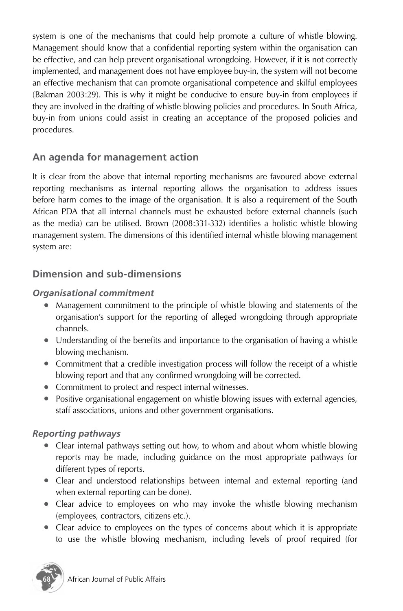system is one of the mechanisms that could help promote a culture of whistle blowing. Management should know that a confidential reporting system within the organisation can be effective, and can help prevent organisational wrongdoing. However, if it is not correctly implemented, and management does not have employee buy-in, the system will not become an effective mechanism that can promote organisational competence and skilful employees (Bakman 2003:29). This is why it might be conducive to ensure buy-in from employees if they are involved in the drafting of whistle blowing policies and procedures. In South Africa, buy-in from unions could assist in creating an acceptance of the proposed policies and procedures.

# **An agenda for management action**

It is clear from the above that internal reporting mechanisms are favoured above external reporting mechanisms as internal reporting allows the organisation to address issues before harm comes to the image of the organisation. It is also a requirement of the South African PDA that all internal channels must be exhausted before external channels (such as the media) can be utilised. Brown (2008:331-332) identifies a holistic whistle blowing management system. The dimensions of this identified internal whistle blowing management system are:

## **Dimension and sub-dimensions**

#### *Organisational commitment*

- Management commitment to the principle of whistle blowing and statements of the organisation's support for the reporting of alleged wrongdoing through appropriate channels.
- Understanding of the benefits and importance to the organisation of having a whistle blowing mechanism.
- Commitment that a credible investigation process will follow the receipt of a whistle blowing report and that any confirmed wrongdoing will be corrected.
- Commitment to protect and respect internal witnesses.
- Positive organisational engagement on whistle blowing issues with external agencies, staff associations, unions and other government organisations.

#### *Reporting pathways*

- Clear internal pathways setting out how, to whom and about whom whistle blowing reports may be made, including guidance on the most appropriate pathways for different types of reports.
- Clear and understood relationships between internal and external reporting (and when external reporting can be done).
- Clear advice to employees on who may invoke the whistle blowing mechanism (employees, contractors, citizens etc.).
- Clear advice to employees on the types of concerns about which it is appropriate to use the whistle blowing mechanism, including levels of proof required (for

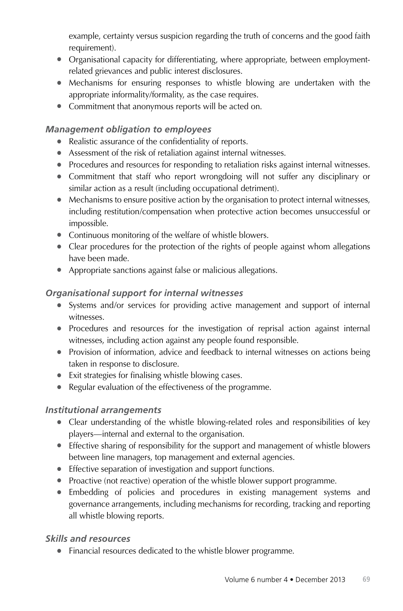example, certainty versus suspicion regarding the truth of concerns and the good faith requirement).

- Organisational capacity for differentiating, where appropriate, between employmentrelated grievances and public interest disclosures.
- Mechanisms for ensuring responses to whistle blowing are undertaken with the appropriate informality/formality, as the case requires.
- Commitment that anonymous reports will be acted on.

#### *Management obligation to employees*

- Realistic assurance of the confidentiality of reports.
- Assessment of the risk of retaliation against internal witnesses.
- Procedures and resources for responding to retaliation risks against internal witnesses.
- Commitment that staff who report wrongdoing will not suffer any disciplinary or similar action as a result (including occupational detriment).
- Mechanisms to ensure positive action by the organisation to protect internal witnesses, including restitution/compensation when protective action becomes unsuccessful or impossible.
- Continuous monitoring of the welfare of whistle blowers.
- Clear procedures for the protection of the rights of people against whom allegations have been made.
- Appropriate sanctions against false or malicious allegations.

#### *Organisational support for internal witnesses*

- Systems and/or services for providing active management and support of internal witnesses.
- Procedures and resources for the investigation of reprisal action against internal witnesses, including action against any people found responsible.
- Provision of information, advice and feedback to internal witnesses on actions being taken in response to disclosure.
- Exit strategies for finalising whistle blowing cases.
- Regular evaluation of the effectiveness of the programme.

#### *Institutional arrangements*

- Clear understanding of the whistle blowing-related roles and responsibilities of key players—internal and external to the organisation.
- Effective sharing of responsibility for the support and management of whistle blowers between line managers, top management and external agencies.
- Effective separation of investigation and support functions.
- Proactive (not reactive) operation of the whistle blower support programme.
- Embedding of policies and procedures in existing management systems and governance arrangements, including mechanisms for recording, tracking and reporting all whistle blowing reports.

#### *Skills and resources*

● Financial resources dedicated to the whistle blower programme.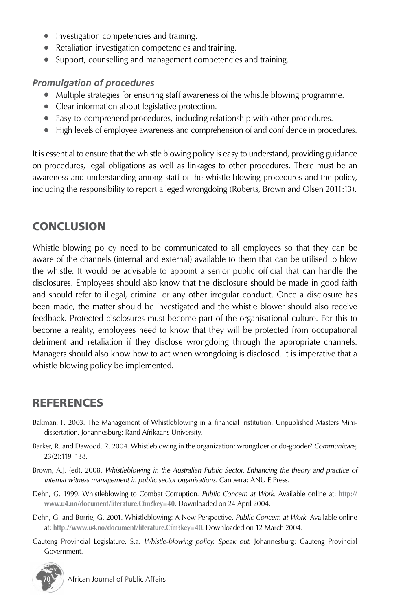- Investigation competencies and training.
- Retaliation investigation competencies and training.
- Support, counselling and management competencies and training.

#### *Promulgation of procedures*

- Multiple strategies for ensuring staff awareness of the whistle blowing programme.
- Clear information about legislative protection.
- Easy-to-comprehend procedures, including relationship with other procedures.
- High levels of employee awareness and comprehension of and confidence in procedures.

It is essential to ensure that the whistle blowing policy is easy to understand, providing guidance on procedures, legal obligations as well as linkages to other procedures. There must be an awareness and understanding among staff of the whistle blowing procedures and the policy, including the responsibility to report alleged wrongdoing (Roberts, Brown and Olsen 2011:13).

# **CONCLUSION**

Whistle blowing policy need to be communicated to all employees so that they can be aware of the channels (internal and external) available to them that can be utilised to blow the whistle. It would be advisable to appoint a senior public official that can handle the disclosures. Employees should also know that the disclosure should be made in good faith and should refer to illegal, criminal or any other irregular conduct. Once a disclosure has been made, the matter should be investigated and the whistle blower should also receive feedback. Protected disclosures must become part of the organisational culture. For this to become a reality, employees need to know that they will be protected from occupational detriment and retaliation if they disclose wrongdoing through the appropriate channels. Managers should also know how to act when wrongdoing is disclosed. It is imperative that a whistle blowing policy be implemented.

# REFERENCES

- Bakman, F. 2003. The Management of Whistleblowing in a financial institution*.* Unpublished Masters Minidissertation. Johannesburg: Rand Afrikaans University.
- Barker, R. and Dawood, R. 2004. Whistleblowing in the organization: wrongdoer or do-gooder? *Communicare,*  23(2):119–138.
- Brown, A.J. (ed). 2008. *Whistleblowing in the Australian Public Sector. Enhancing the theory and practice of internal witness management in public sector organisations*. Canberra: ANU E Press.
- Dehn, G. 1999. Whistleblowing to Combat Corruption. *Public Concern at Work.* Available online at: **http:// www.u4.no/document/literature.Cfm?key=40**. Downloaded on 24 April 2004.
- Dehn, G. and Borrie, G. 2001. Whistleblowing: A New Perspective. *Public Concern at Work.* Available online at: **http://www.u4.no/document/literature.Cfm?key=40**. Downloaded on 12 March 2004.
- Gauteng Provincial Legislature. S.a. *Whistle-blowing policy. Speak out.* Johannesburg: Gauteng Provincial Government.